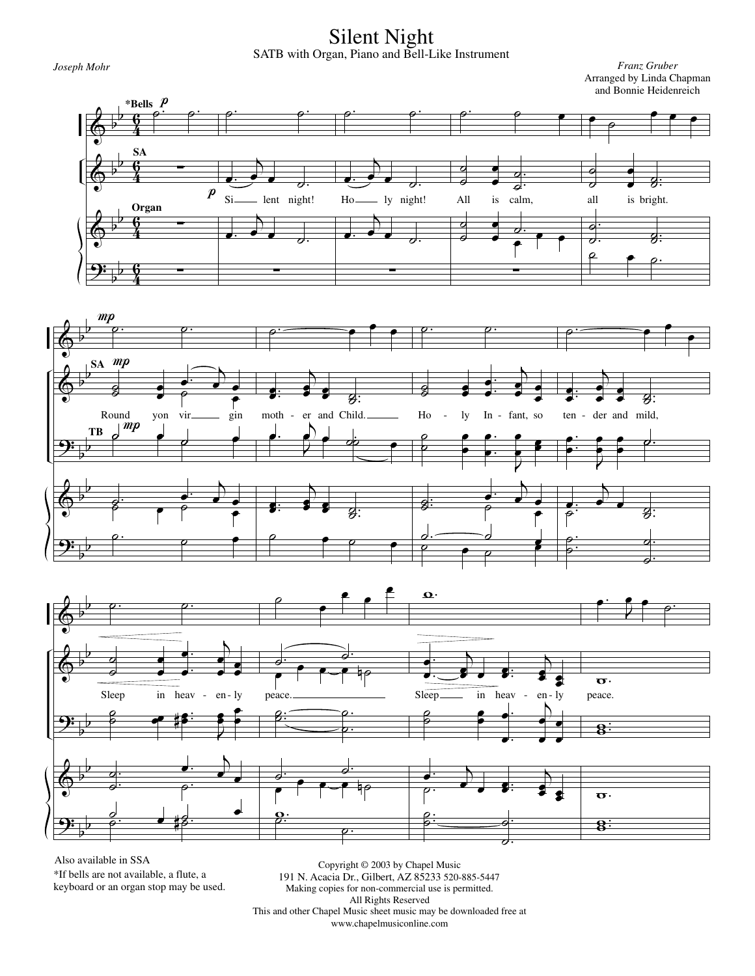Silent Night SATB with Organ, Piano and Bell-Like Instrument

*Joseph Mohr Franz Gruber* Arranged by Linda Chapman and Bonnie Heidenreich







Also available in SSA \*If bells are not available, a flute, a keyboard or an organ stop may be used.

Copyright © 2003 by Chapel Music 191 N. Acacia Dr., Gilbert, AZ 85233 520-885-5447 Making copies for non-commercial use is permitted. All Rights Reserved This and other Chapel Music sheet music may be downloaded free at www.chapelmusiconline.com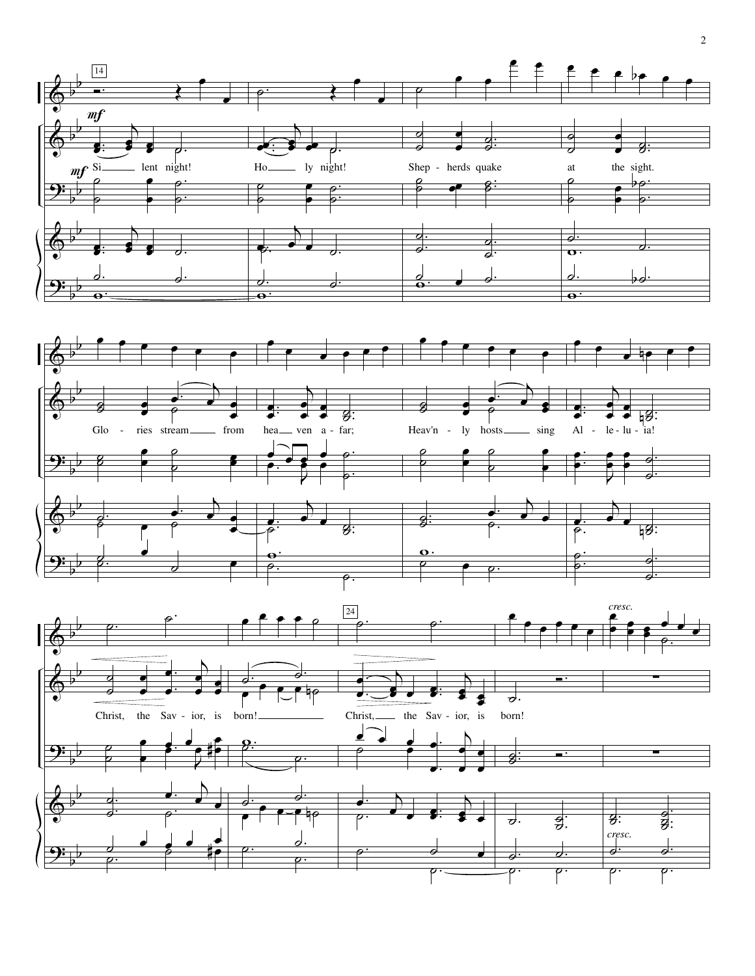

2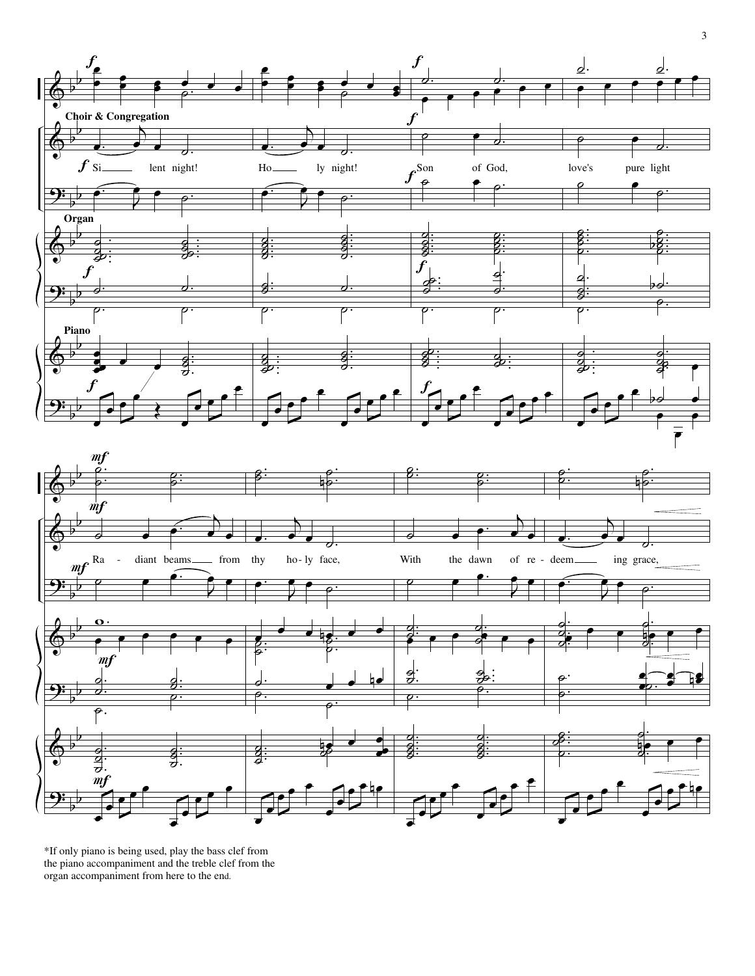



\*If only piano is being used, play the bass clef from the piano accompaniment and the treble clef from the organ accompaniment from here to the end.